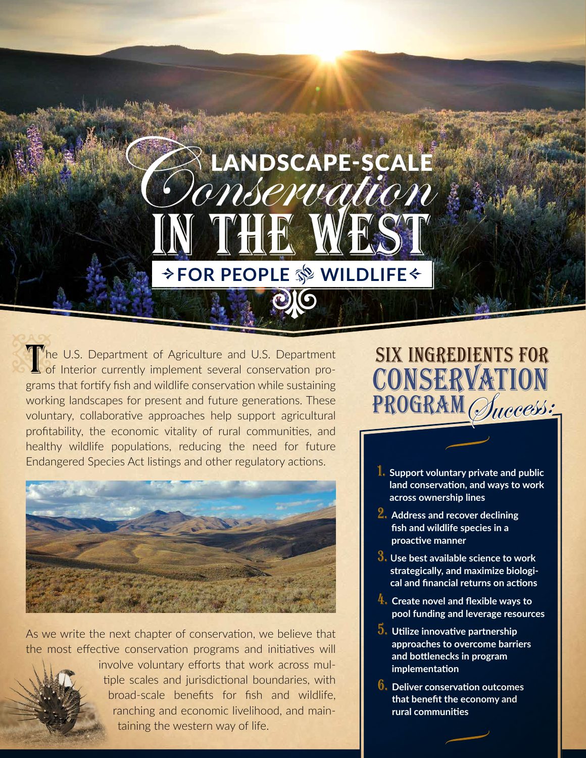# in the West **→ FOR PEOPLE SS WILDLIFE←** LANDSCAPE-SCALE<br>MSCRUation

010

The U.S. Department of Agriculture and U.S. Department<br>of Interior currently implement several conservation pro-<br>grams that fortify fish and wildlife conservation while sustaining of Interior currently implement several conservation programs that fortify fish and wildlife conservation while sustaining working landscapes for present and future generations. These voluntary, collaborative approaches help support agricultural profitability, the economic vitality of rural communities, and healthy wildlife populations, reducing the need for future Endangered Species Act listings and other regulatory actions.



As we write the next chapter of conservation, we believe that the most effective conservation programs and initiatives will



involve voluntary efforts that work across multiple scales and jurisdictional boundaries, with broad-scale benefits for fish and wildlife, ranching and economic livelihood, and maintaining the western way of life.

### six Ingredients for CONSERVATION PROGRAM Success:

- 1. **Support voluntary private and public land conservation, and ways to work across ownership lines**
- 2. **Address and recover declining fish and wildlife species in a proactive manner**
- 3. **<sup>U</sup>se best available science to work strategically, and maximize biological and financial returns on actions**
- 4. **Create novel and flexible ways to pool funding and leverage resources**
- 5. **Utilize innovative partnership approaches to overcome barriers and bottlenecks in program implementation**
- 6. **Deliver conservation outcomes that benefit the economy and rural communities**